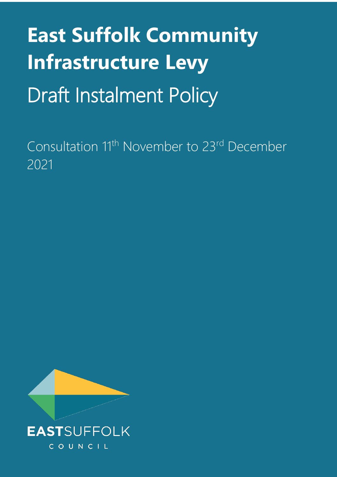# **East Suffolk Community Infrastructure Levy** Draft Instalment Policy

Consultation 11<sup>th</sup> November to 23<sup>rd</sup> December 2021

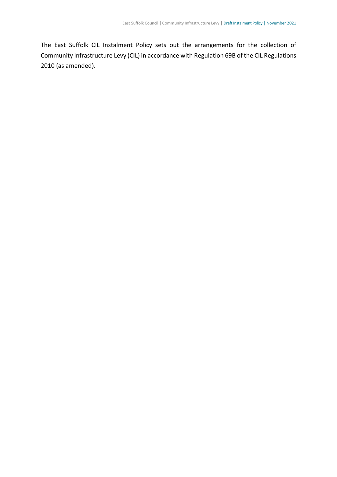The East Suffolk CIL Instalment Policy sets out the arrangements for the collection of Community Infrastructure Levy (CIL) in accordance with Regulation 69B of the CIL Regulations 2010 (as amended).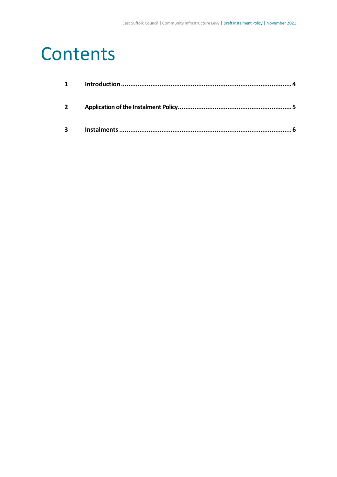### **Contents**

| $1 \quad \blacksquare$ |  |
|------------------------|--|
| $2^{\circ}$            |  |
| $\mathbf{3}$           |  |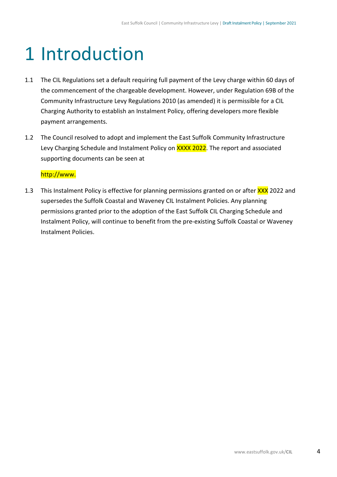# <span id="page-3-0"></span>1 Introduction

- 1.1 The CIL Regulations set a default requiring full payment of the Levy charge within 60 days of the commencement of the chargeable development. However, under Regulation 69B of the Community Infrastructure Levy Regulations 2010 (as amended) it is permissible for a CIL Charging Authority to establish an Instalment Policy, offering developers more flexible payment arrangements.
- 1.2 The Council resolved to adopt and implement the East Suffolk Community Infrastructure Levy Charging Schedule and Instalment Policy on XXXX 2022. The report and associated supporting documents can be seen at

#### http://www.

1.3 This Instalment Policy is effective for planning permissions granted on or after XXX 2022 and supersedes the Suffolk Coastal and Waveney CIL Instalment Policies. Any planning permissions granted prior to the adoption of the East Suffolk CIL Charging Schedule and Instalment Policy, will continue to benefit from the pre-existing Suffolk Coastal or Waveney Instalment Policies.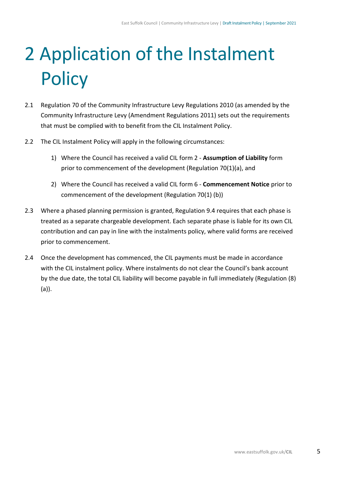# <span id="page-4-0"></span>2 Application of the Instalment **Policy**

- 2.1 Regulation 70 of the Community Infrastructure Levy Regulations 2010 (as amended by the Community Infrastructure Levy (Amendment Regulations 2011) sets out the requirements that must be complied with to benefit from the CIL Instalment Policy.
- 2.2 The CIL Instalment Policy will apply in the following circumstances:
	- 1) Where the Council has received a valid CIL form 2 **Assumption of Liability** form prior to commencement of the development (Regulation 70(1)(a), and
	- 2) Where the Council has received a valid CIL form 6 **Commencement Notice** prior to commencement of the development (Regulation 70(1) (b))
- 2.3 Where a phased planning permission is granted, Regulation 9.4 requires that each phase is treated as a separate chargeable development. Each separate phase is liable for its own CIL contribution and can pay in line with the instalments policy, where valid forms are received prior to commencement.
- 2.4 Once the development has commenced, the CIL payments must be made in accordance with the CIL instalment policy. Where instalments do not clear the Council's bank account by the due date, the total CIL liability will become payable in full immediately (Regulation (8) (a)).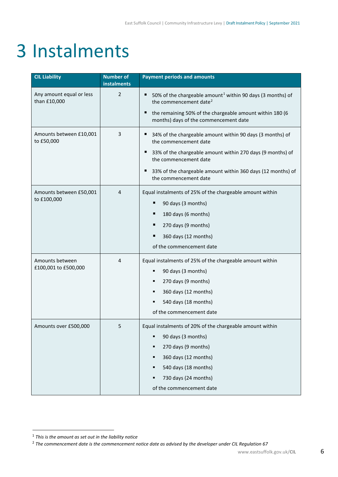## <span id="page-5-0"></span>3 Instalments

| <b>CIL Liability</b>                     | <b>Number of</b><br>instalments | <b>Payment periods and amounts</b>                                                                                                                                                                                                                                     |
|------------------------------------------|---------------------------------|------------------------------------------------------------------------------------------------------------------------------------------------------------------------------------------------------------------------------------------------------------------------|
| Any amount equal or less<br>than £10,000 | $\overline{2}$                  | 50% of the chargeable amount <sup>1</sup> within 90 days (3 months) of<br>п<br>the commencement date <sup>2</sup><br>the remaining 50% of the chargeable amount within 180 (6<br>Е<br>months) days of the commencement date                                            |
| Amounts between £10,001<br>to £50,000    | 3                               | 34% of the chargeable amount within 90 days (3 months) of<br>п<br>the commencement date<br>33% of the chargeable amount within 270 days (9 months) of<br>the commencement date<br>33% of the chargeable amount within 360 days (12 months) of<br>the commencement date |
| Amounts between £50,001<br>to £100,000   | 4                               | Equal instalments of 25% of the chargeable amount within<br>90 days (3 months)<br>180 days (6 months)<br>٠<br>270 days (9 months)<br>360 days (12 months)<br>п<br>of the commencement date                                                                             |
| Amounts between<br>£100,001 to £500,000  | 4                               | Equal instalments of 25% of the chargeable amount within<br>90 days (3 months)<br>270 days (9 months)<br>360 days (12 months)<br>٠<br>540 days (18 months)<br>of the commencement date                                                                                 |
| Amounts over £500,000                    | 5                               | Equal instalments of 20% of the chargeable amount within<br>90 days (3 months)<br>٠<br>270 days (9 months)<br>٠<br>360 days (12 months)<br>٠<br>540 days (18 months)<br>٠<br>730 days (24 months)<br>٠<br>of the commencement date                                     |

<span id="page-5-1"></span><sup>1</sup> *This is the amount as set out in the liability notice*

<span id="page-5-2"></span><sup>2</sup> *The commencement date is the commencement notice date as advised by the developer under CIL Regulation 67*